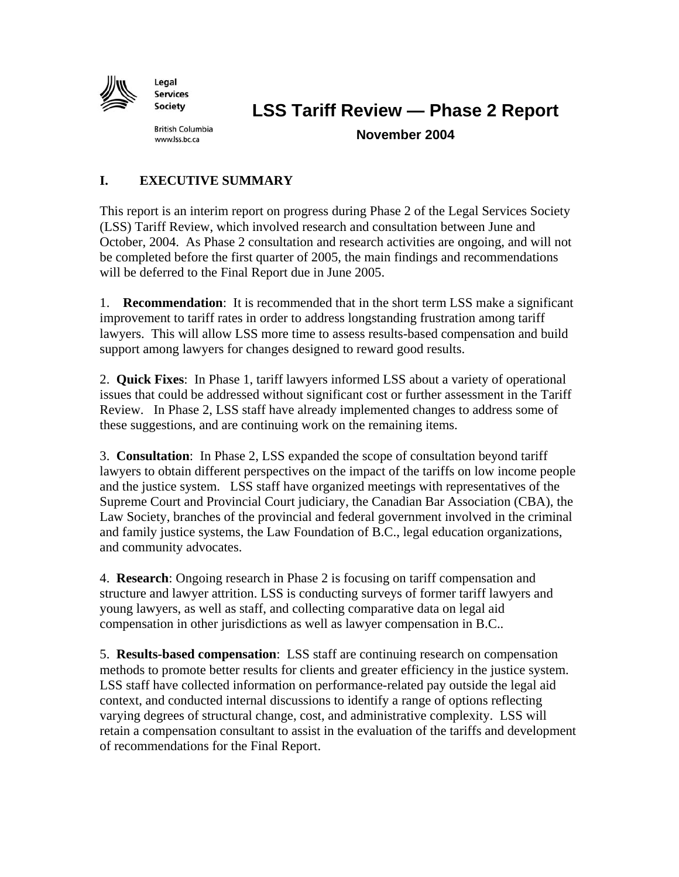

Legal **Services** Society

**LSS Tariff Review — Phase 2 Report** 

**British Columbia** www.lss.bc.ca

**November 2004** 

# **I. EXECUTIVE SUMMARY**

This report is an interim report on progress during Phase 2 of the Legal Services Society (LSS) Tariff Review, which involved research and consultation between June and October, 2004. As Phase 2 consultation and research activities are ongoing, and will not be completed before the first quarter of 2005, the main findings and recommendations will be deferred to the Final Report due in June 2005.

1. **Recommendation**: It is recommended that in the short term LSS make a significant improvement to tariff rates in order to address longstanding frustration among tariff lawyers. This will allow LSS more time to assess results-based compensation and build support among lawyers for changes designed to reward good results.

2. **Quick Fixes**: In Phase 1, tariff lawyers informed LSS about a variety of operational issues that could be addressed without significant cost or further assessment in the Tariff Review. In Phase 2, LSS staff have already implemented changes to address some of these suggestions, and are continuing work on the remaining items.

3. **Consultation**: In Phase 2, LSS expanded the scope of consultation beyond tariff lawyers to obtain different perspectives on the impact of the tariffs on low income people and the justice system. LSS staff have organized meetings with representatives of the Supreme Court and Provincial Court judiciary, the Canadian Bar Association (CBA), the Law Society, branches of the provincial and federal government involved in the criminal and family justice systems, the Law Foundation of B.C., legal education organizations, and community advocates.

4. **Research**: Ongoing research in Phase 2 is focusing on tariff compensation and structure and lawyer attrition. LSS is conducting surveys of former tariff lawyers and young lawyers, as well as staff, and collecting comparative data on legal aid compensation in other jurisdictions as well as lawyer compensation in B.C..

5. **Results-based compensation**: LSS staff are continuing research on compensation methods to promote better results for clients and greater efficiency in the justice system. LSS staff have collected information on performance-related pay outside the legal aid context, and conducted internal discussions to identify a range of options reflecting varying degrees of structural change, cost, and administrative complexity. LSS will retain a compensation consultant to assist in the evaluation of the tariffs and development of recommendations for the Final Report.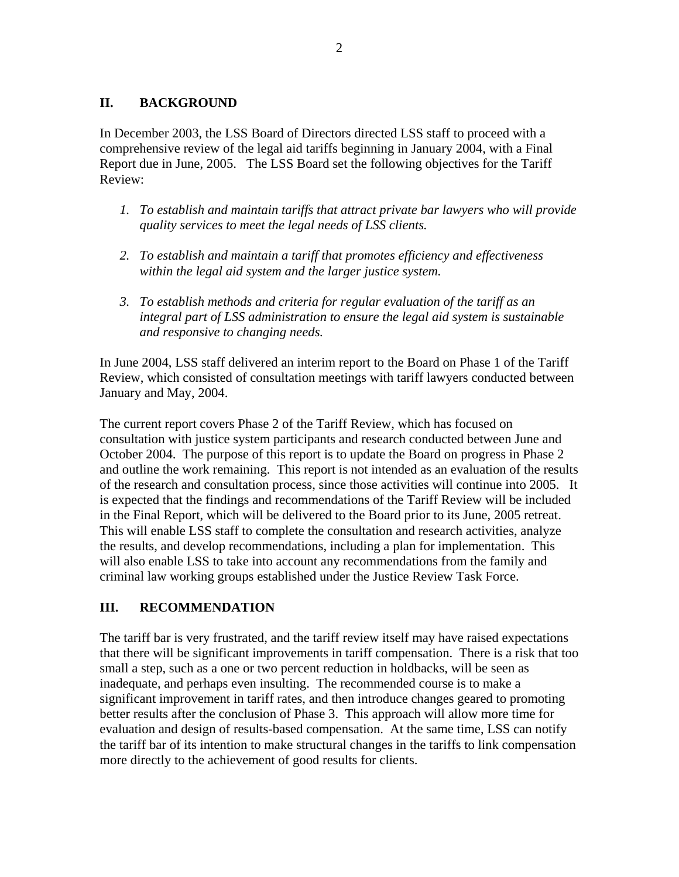### **II. BACKGROUND**

In December 2003, the LSS Board of Directors directed LSS staff to proceed with a comprehensive review of the legal aid tariffs beginning in January 2004, with a Final Report due in June, 2005. The LSS Board set the following objectives for the Tariff Review:

- *1. To establish and maintain tariffs that attract private bar lawyers who will provide quality services to meet the legal needs of LSS clients.*
- *2. To establish and maintain a tariff that promotes efficiency and effectiveness within the legal aid system and the larger justice system.*
- *3. To establish methods and criteria for regular evaluation of the tariff as an integral part of LSS administration to ensure the legal aid system is sustainable and responsive to changing needs.*

In June 2004, LSS staff delivered an interim report to the Board on Phase 1 of the Tariff Review, which consisted of consultation meetings with tariff lawyers conducted between January and May, 2004.

The current report covers Phase 2 of the Tariff Review, which has focused on consultation with justice system participants and research conducted between June and October 2004. The purpose of this report is to update the Board on progress in Phase 2 and outline the work remaining. This report is not intended as an evaluation of the results of the research and consultation process, since those activities will continue into 2005. It is expected that the findings and recommendations of the Tariff Review will be included in the Final Report, which will be delivered to the Board prior to its June, 2005 retreat. This will enable LSS staff to complete the consultation and research activities, analyze the results, and develop recommendations, including a plan for implementation. This will also enable LSS to take into account any recommendations from the family and criminal law working groups established under the Justice Review Task Force.

# **III. RECOMMENDATION**

The tariff bar is very frustrated, and the tariff review itself may have raised expectations that there will be significant improvements in tariff compensation. There is a risk that too small a step, such as a one or two percent reduction in holdbacks, will be seen as inadequate, and perhaps even insulting. The recommended course is to make a significant improvement in tariff rates, and then introduce changes geared to promoting better results after the conclusion of Phase 3. This approach will allow more time for evaluation and design of results-based compensation. At the same time, LSS can notify the tariff bar of its intention to make structural changes in the tariffs to link compensation more directly to the achievement of good results for clients.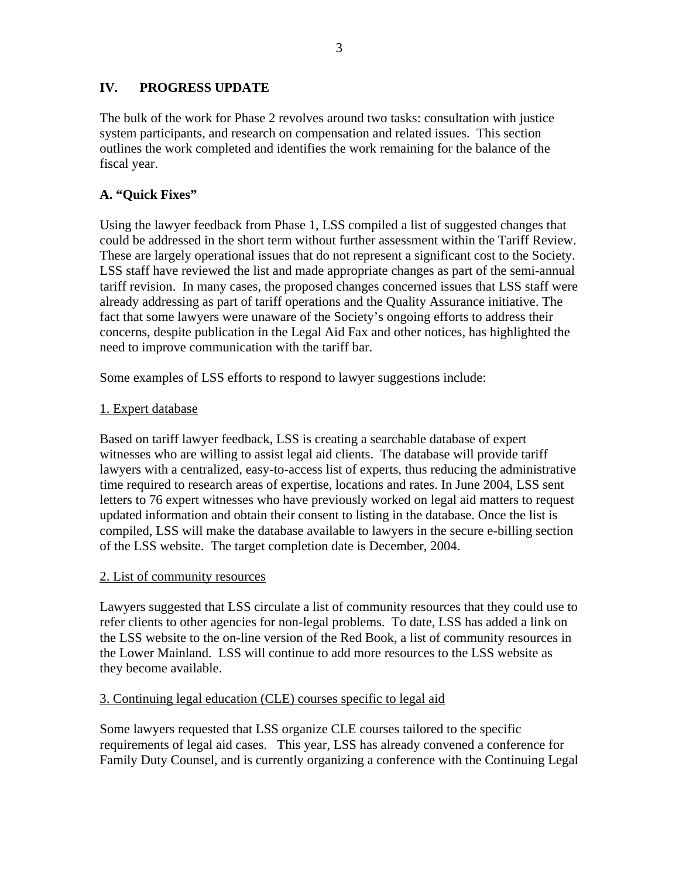# **IV. PROGRESS UPDATE**

The bulk of the work for Phase 2 revolves around two tasks: consultation with justice system participants, and research on compensation and related issues. This section outlines the work completed and identifies the work remaining for the balance of the fiscal year.

# **A. "Quick Fixes"**

Using the lawyer feedback from Phase 1, LSS compiled a list of suggested changes that could be addressed in the short term without further assessment within the Tariff Review. These are largely operational issues that do not represent a significant cost to the Society. LSS staff have reviewed the list and made appropriate changes as part of the semi-annual tariff revision. In many cases, the proposed changes concerned issues that LSS staff were already addressing as part of tariff operations and the Quality Assurance initiative. The fact that some lawyers were unaware of the Society's ongoing efforts to address their concerns, despite publication in the Legal Aid Fax and other notices, has highlighted the need to improve communication with the tariff bar.

Some examples of LSS efforts to respond to lawyer suggestions include:

### 1. Expert database

Based on tariff lawyer feedback, LSS is creating a searchable database of expert witnesses who are willing to assist legal aid clients. The database will provide tariff lawyers with a centralized, easy-to-access list of experts, thus reducing the administrative time required to research areas of expertise, locations and rates. In June 2004, LSS sent letters to 76 expert witnesses who have previously worked on legal aid matters to request updated information and obtain their consent to listing in the database. Once the list is compiled, LSS will make the database available to lawyers in the secure e-billing section of the LSS website. The target completion date is December, 2004.

#### 2. List of community resources

Lawyers suggested that LSS circulate a list of community resources that they could use to refer clients to other agencies for non-legal problems. To date, LSS has added a link on the LSS website to the on-line version of the Red Book, a list of community resources in the Lower Mainland. LSS will continue to add more resources to the LSS website as they become available.

#### 3. Continuing legal education (CLE) courses specific to legal aid

Some lawyers requested that LSS organize CLE courses tailored to the specific requirements of legal aid cases. This year, LSS has already convened a conference for Family Duty Counsel, and is currently organizing a conference with the Continuing Legal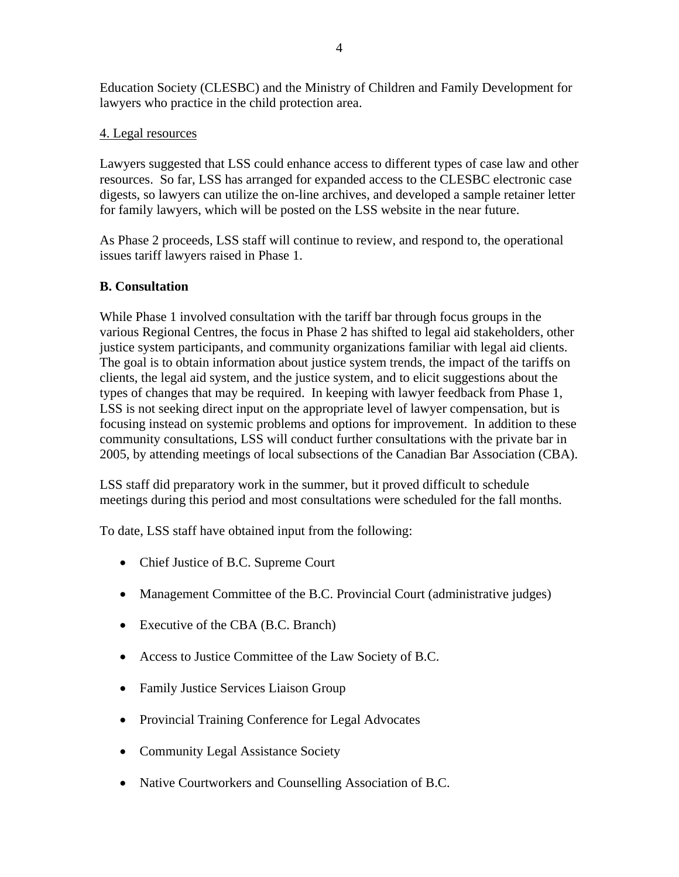Education Society (CLESBC) and the Ministry of Children and Family Development for lawyers who practice in the child protection area.

# 4. Legal resources

Lawyers suggested that LSS could enhance access to different types of case law and other resources. So far, LSS has arranged for expanded access to the CLESBC electronic case digests, so lawyers can utilize the on-line archives, and developed a sample retainer letter for family lawyers, which will be posted on the LSS website in the near future.

As Phase 2 proceeds, LSS staff will continue to review, and respond to, the operational issues tariff lawyers raised in Phase 1.

### **B. Consultation**

While Phase 1 involved consultation with the tariff bar through focus groups in the various Regional Centres, the focus in Phase 2 has shifted to legal aid stakeholders, other justice system participants, and community organizations familiar with legal aid clients. The goal is to obtain information about justice system trends, the impact of the tariffs on clients, the legal aid system, and the justice system, and to elicit suggestions about the types of changes that may be required. In keeping with lawyer feedback from Phase 1, LSS is not seeking direct input on the appropriate level of lawyer compensation, but is focusing instead on systemic problems and options for improvement. In addition to these community consultations, LSS will conduct further consultations with the private bar in 2005, by attending meetings of local subsections of the Canadian Bar Association (CBA).

LSS staff did preparatory work in the summer, but it proved difficult to schedule meetings during this period and most consultations were scheduled for the fall months.

To date, LSS staff have obtained input from the following:

- Chief Justice of B.C. Supreme Court
- Management Committee of the B.C. Provincial Court (administrative judges)
- Executive of the CBA (B.C. Branch)
- Access to Justice Committee of the Law Society of B.C.
- Family Justice Services Liaison Group
- Provincial Training Conference for Legal Advocates
- Community Legal Assistance Society
- Native Courtworkers and Counselling Association of B.C.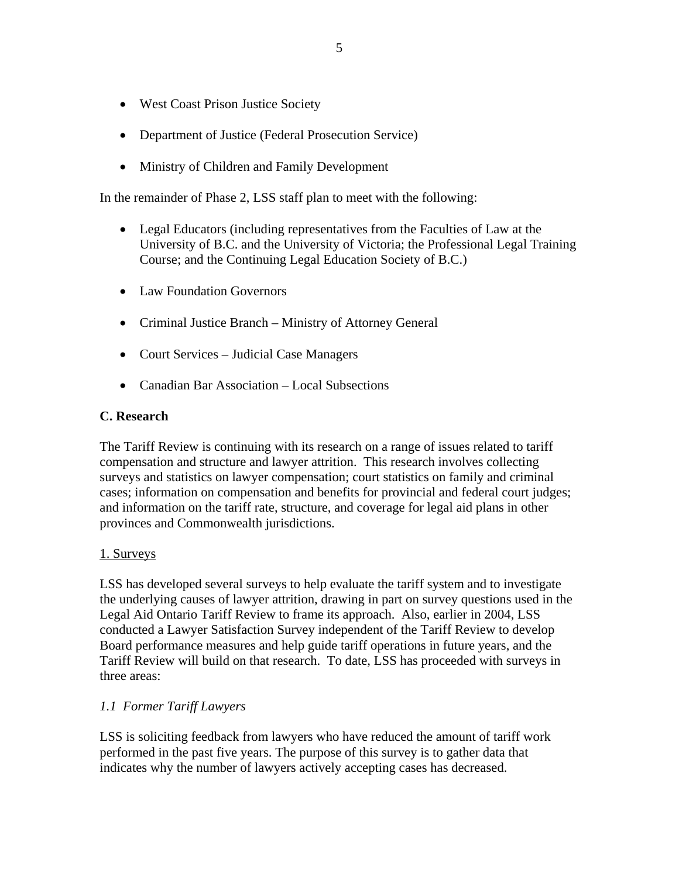- West Coast Prison Justice Society
- Department of Justice (Federal Prosecution Service)
- Ministry of Children and Family Development

In the remainder of Phase 2, LSS staff plan to meet with the following:

- Legal Educators (including representatives from the Faculties of Law at the University of B.C. and the University of Victoria; the Professional Legal Training Course; and the Continuing Legal Education Society of B.C.)
- Law Foundation Governors
- Criminal Justice Branch Ministry of Attorney General
- Court Services Judicial Case Managers
- Canadian Bar Association Local Subsections

#### **C. Research**

The Tariff Review is continuing with its research on a range of issues related to tariff compensation and structure and lawyer attrition. This research involves collecting surveys and statistics on lawyer compensation; court statistics on family and criminal cases; information on compensation and benefits for provincial and federal court judges; and information on the tariff rate, structure, and coverage for legal aid plans in other provinces and Commonwealth jurisdictions.

#### 1. Surveys

LSS has developed several surveys to help evaluate the tariff system and to investigate the underlying causes of lawyer attrition, drawing in part on survey questions used in the Legal Aid Ontario Tariff Review to frame its approach. Also, earlier in 2004, LSS conducted a Lawyer Satisfaction Survey independent of the Tariff Review to develop Board performance measures and help guide tariff operations in future years, and the Tariff Review will build on that research. To date, LSS has proceeded with surveys in three areas:

#### *1.1 Former Tariff Lawyers*

LSS is soliciting feedback from lawyers who have reduced the amount of tariff work performed in the past five years. The purpose of this survey is to gather data that indicates why the number of lawyers actively accepting cases has decreased.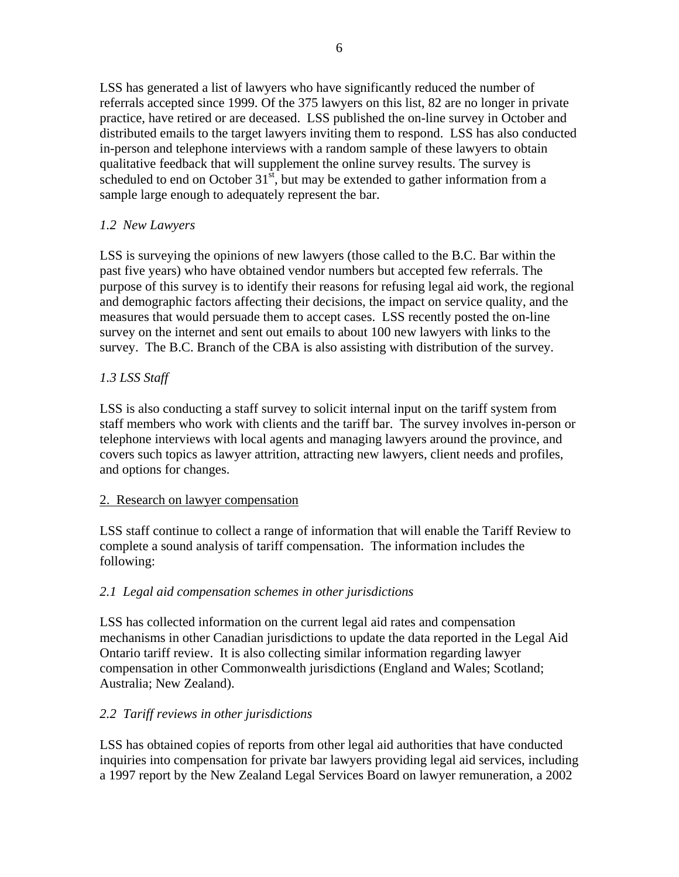LSS has generated a list of lawyers who have significantly reduced the number of referrals accepted since 1999. Of the 375 lawyers on this list, 82 are no longer in private practice, have retired or are deceased. LSS published the on-line survey in October and distributed emails to the target lawyers inviting them to respond. LSS has also conducted in-person and telephone interviews with a random sample of these lawyers to obtain qualitative feedback that will supplement the online survey results. The survey is scheduled to end on October  $31<sup>st</sup>$ , but may be extended to gather information from a sample large enough to adequately represent the bar.

# *1.2 New Lawyers*

LSS is surveying the opinions of new lawyers (those called to the B.C. Bar within the past five years) who have obtained vendor numbers but accepted few referrals. The purpose of this survey is to identify their reasons for refusing legal aid work, the regional and demographic factors affecting their decisions, the impact on service quality, and the measures that would persuade them to accept cases. LSS recently posted the on-line survey on the internet and sent out emails to about 100 new lawyers with links to the survey. The B.C. Branch of the CBA is also assisting with distribution of the survey.

# *1.3 LSS Staff*

LSS is also conducting a staff survey to solicit internal input on the tariff system from staff members who work with clients and the tariff bar. The survey involves in-person or telephone interviews with local agents and managing lawyers around the province, and covers such topics as lawyer attrition, attracting new lawyers, client needs and profiles, and options for changes.

# 2. Research on lawyer compensation

LSS staff continue to collect a range of information that will enable the Tariff Review to complete a sound analysis of tariff compensation. The information includes the following:

# *2.1 Legal aid compensation schemes in other jurisdictions*

LSS has collected information on the current legal aid rates and compensation mechanisms in other Canadian jurisdictions to update the data reported in the Legal Aid Ontario tariff review. It is also collecting similar information regarding lawyer compensation in other Commonwealth jurisdictions (England and Wales; Scotland; Australia; New Zealand).

# *2.2 Tariff reviews in other jurisdictions*

LSS has obtained copies of reports from other legal aid authorities that have conducted inquiries into compensation for private bar lawyers providing legal aid services, including a 1997 report by the New Zealand Legal Services Board on lawyer remuneration, a 2002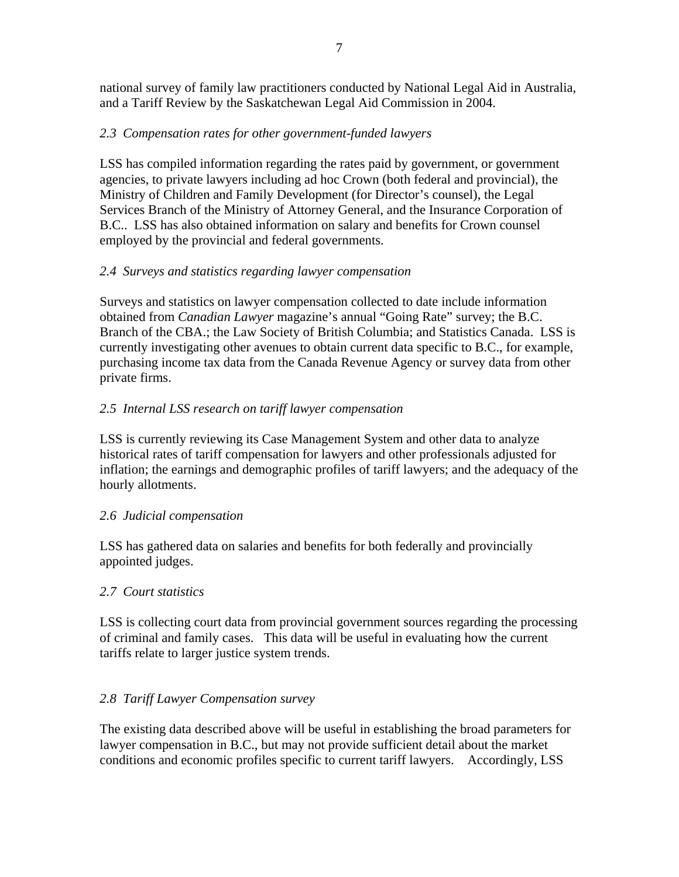national survey of family law practitioners conducted by National Legal Aid in Australia, and a Tariff Review by the Saskatchewan Legal Aid Commission in 2004.

# *2.3 Compensation rates for other government-funded lawyers*

LSS has compiled information regarding the rates paid by government, or government agencies, to private lawyers including ad hoc Crown (both federal and provincial), the Ministry of Children and Family Development (for Director's counsel), the Legal Services Branch of the Ministry of Attorney General, and the Insurance Corporation of B.C.. LSS has also obtained information on salary and benefits for Crown counsel employed by the provincial and federal governments.

# *2.4 Surveys and statistics regarding lawyer compensation*

Surveys and statistics on lawyer compensation collected to date include information obtained from *Canadian Lawyer* magazine's annual "Going Rate" survey; the B.C. Branch of the CBA.; the Law Society of British Columbia; and Statistics Canada. LSS is currently investigating other avenues to obtain current data specific to B.C., for example, purchasing income tax data from the Canada Revenue Agency or survey data from other private firms.

# *2.5 Internal LSS research on tariff lawyer compensation*

LSS is currently reviewing its Case Management System and other data to analyze historical rates of tariff compensation for lawyers and other professionals adjusted for inflation; the earnings and demographic profiles of tariff lawyers; and the adequacy of the hourly allotments.

# *2.6 Judicial compensation*

LSS has gathered data on salaries and benefits for both federally and provincially appointed judges.

# *2.7 Court statistics*

LSS is collecting court data from provincial government sources regarding the processing of criminal and family cases. This data will be useful in evaluating how the current tariffs relate to larger justice system trends.

# *2.8 Tariff Lawyer Compensation survey*

The existing data described above will be useful in establishing the broad parameters for lawyer compensation in B.C., but may not provide sufficient detail about the market conditions and economic profiles specific to current tariff lawyers. Accordingly, LSS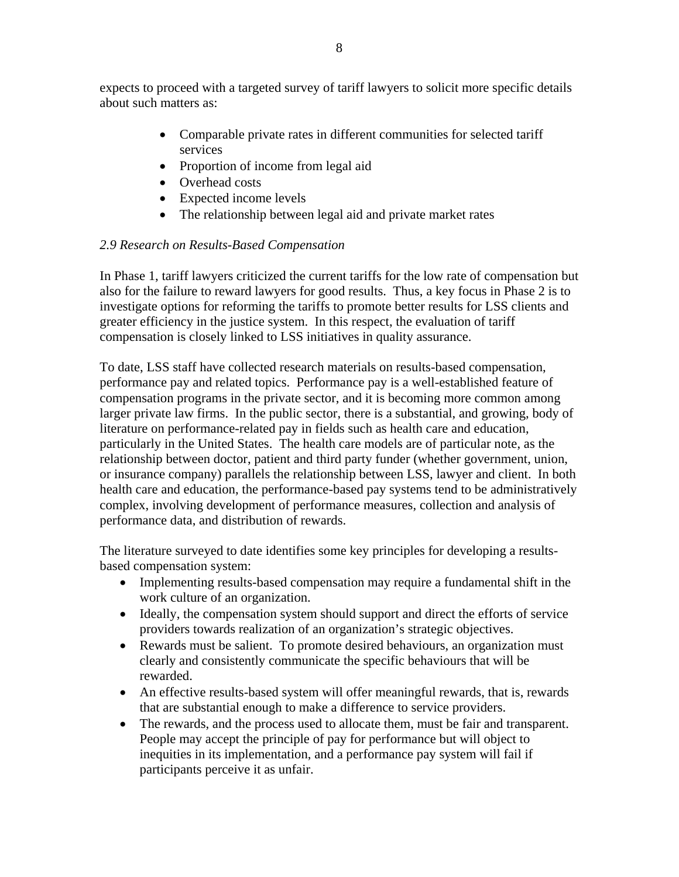expects to proceed with a targeted survey of tariff lawyers to solicit more specific details about such matters as:

- Comparable private rates in different communities for selected tariff services
- Proportion of income from legal aid
- Overhead costs
- Expected income levels
- The relationship between legal aid and private market rates

# *2.9 Research on Results-Based Compensation*

In Phase 1, tariff lawyers criticized the current tariffs for the low rate of compensation but also for the failure to reward lawyers for good results. Thus, a key focus in Phase 2 is to investigate options for reforming the tariffs to promote better results for LSS clients and greater efficiency in the justice system. In this respect, the evaluation of tariff compensation is closely linked to LSS initiatives in quality assurance.

To date, LSS staff have collected research materials on results-based compensation, performance pay and related topics. Performance pay is a well-established feature of compensation programs in the private sector, and it is becoming more common among larger private law firms. In the public sector, there is a substantial, and growing, body of literature on performance-related pay in fields such as health care and education, particularly in the United States. The health care models are of particular note, as the relationship between doctor, patient and third party funder (whether government, union, or insurance company) parallels the relationship between LSS, lawyer and client. In both health care and education, the performance-based pay systems tend to be administratively complex, involving development of performance measures, collection and analysis of performance data, and distribution of rewards.

The literature surveyed to date identifies some key principles for developing a resultsbased compensation system:

- Implementing results-based compensation may require a fundamental shift in the work culture of an organization.
- Ideally, the compensation system should support and direct the efforts of service providers towards realization of an organization's strategic objectives.
- Rewards must be salient. To promote desired behaviours, an organization must clearly and consistently communicate the specific behaviours that will be rewarded.
- An effective results-based system will offer meaningful rewards, that is, rewards that are substantial enough to make a difference to service providers.
- The rewards, and the process used to allocate them, must be fair and transparent. People may accept the principle of pay for performance but will object to inequities in its implementation, and a performance pay system will fail if participants perceive it as unfair.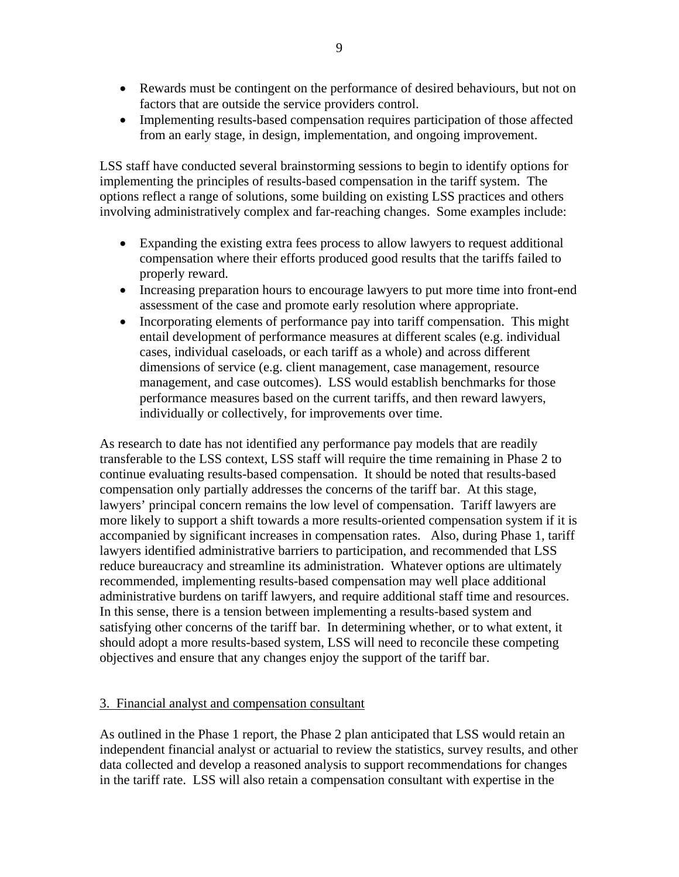- Rewards must be contingent on the performance of desired behaviours, but not on factors that are outside the service providers control.
- Implementing results-based compensation requires participation of those affected from an early stage, in design, implementation, and ongoing improvement.

LSS staff have conducted several brainstorming sessions to begin to identify options for implementing the principles of results-based compensation in the tariff system. The options reflect a range of solutions, some building on existing LSS practices and others involving administratively complex and far-reaching changes. Some examples include:

- Expanding the existing extra fees process to allow lawyers to request additional compensation where their efforts produced good results that the tariffs failed to properly reward.
- Increasing preparation hours to encourage lawyers to put more time into front-end assessment of the case and promote early resolution where appropriate.
- Incorporating elements of performance pay into tariff compensation. This might entail development of performance measures at different scales (e.g. individual cases, individual caseloads, or each tariff as a whole) and across different dimensions of service (e.g. client management, case management, resource management, and case outcomes). LSS would establish benchmarks for those performance measures based on the current tariffs, and then reward lawyers, individually or collectively, for improvements over time.

As research to date has not identified any performance pay models that are readily transferable to the LSS context, LSS staff will require the time remaining in Phase 2 to continue evaluating results-based compensation. It should be noted that results-based compensation only partially addresses the concerns of the tariff bar. At this stage, lawyers' principal concern remains the low level of compensation. Tariff lawyers are more likely to support a shift towards a more results-oriented compensation system if it is accompanied by significant increases in compensation rates. Also, during Phase 1, tariff lawyers identified administrative barriers to participation, and recommended that LSS reduce bureaucracy and streamline its administration. Whatever options are ultimately recommended, implementing results-based compensation may well place additional administrative burdens on tariff lawyers, and require additional staff time and resources. In this sense, there is a tension between implementing a results-based system and satisfying other concerns of the tariff bar. In determining whether, or to what extent, it should adopt a more results-based system, LSS will need to reconcile these competing objectives and ensure that any changes enjoy the support of the tariff bar.

#### 3. Financial analyst and compensation consultant

As outlined in the Phase 1 report, the Phase 2 plan anticipated that LSS would retain an independent financial analyst or actuarial to review the statistics, survey results, and other data collected and develop a reasoned analysis to support recommendations for changes in the tariff rate. LSS will also retain a compensation consultant with expertise in the